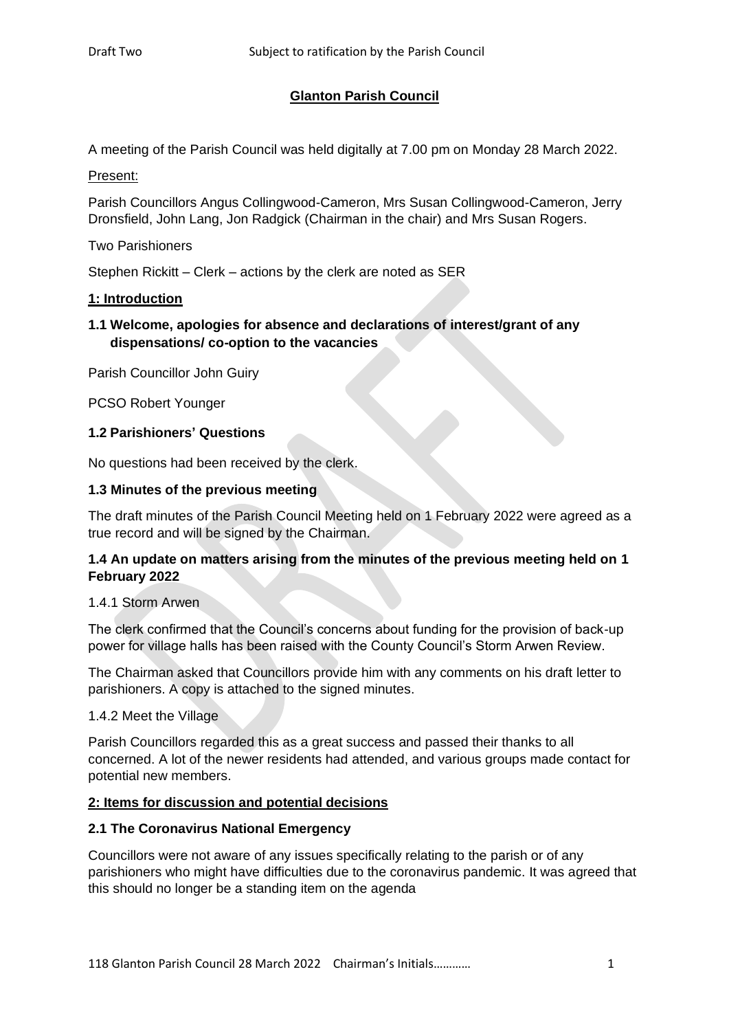# **Glanton Parish Council**

A meeting of the Parish Council was held digitally at 7.00 pm on Monday 28 March 2022.

# Present:

Parish Councillors Angus Collingwood-Cameron, Mrs Susan Collingwood-Cameron, Jerry Dronsfield, John Lang, Jon Radgick (Chairman in the chair) and Mrs Susan Rogers.

# Two Parishioners

Stephen Rickitt – Clerk – actions by the clerk are noted as SER

# **1: Introduction**

# **1.1 Welcome, apologies for absence and declarations of interest/grant of any dispensations/ co-option to the vacancies**

Parish Councillor John Guiry

PCSO Robert Younger

# **1.2 Parishioners' Questions**

No questions had been received by the clerk.

# **1.3 Minutes of the previous meeting**

The draft minutes of the Parish Council Meeting held on 1 February 2022 were agreed as a true record and will be signed by the Chairman.

# **1.4 An update on matters arising from the minutes of the previous meeting held on 1 February 2022**

# 1.4.1 Storm Arwen

The clerk confirmed that the Council's concerns about funding for the provision of back-up power for village halls has been raised with the County Council's Storm Arwen Review.

The Chairman asked that Councillors provide him with any comments on his draft letter to parishioners. A copy is attached to the signed minutes.

# 1.4.2 Meet the Village

Parish Councillors regarded this as a great success and passed their thanks to all concerned. A lot of the newer residents had attended, and various groups made contact for potential new members.

# **2: Items for discussion and potential decisions**

# **2.1 The Coronavirus National Emergency**

Councillors were not aware of any issues specifically relating to the parish or of any parishioners who might have difficulties due to the coronavirus pandemic. It was agreed that this should no longer be a standing item on the agenda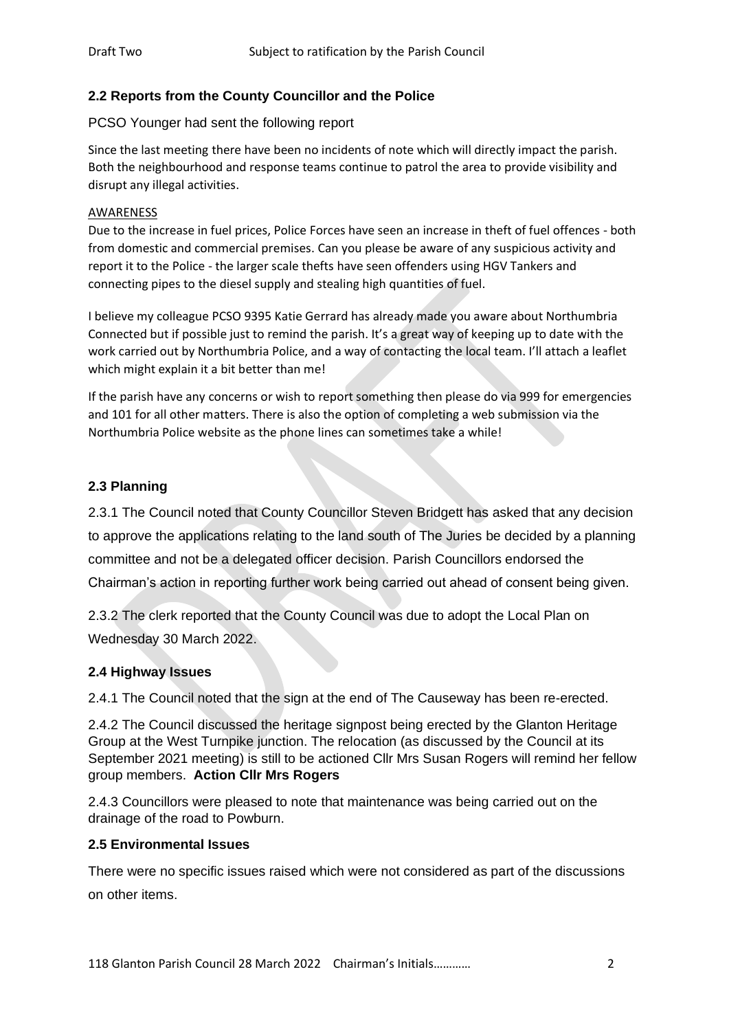# **2.2 Reports from the County Councillor and the Police**

PCSO Younger had sent the following report

Since the last meeting there have been no incidents of note which will directly impact the parish. Both the neighbourhood and response teams continue to patrol the area to provide visibility and disrupt any illegal activities.

### AWARENESS

Due to the increase in fuel prices, Police Forces have seen an increase in theft of fuel offences - both from domestic and commercial premises. Can you please be aware of any suspicious activity and report it to the Police - the larger scale thefts have seen offenders using HGV Tankers and connecting pipes to the diesel supply and stealing high quantities of fuel.

I believe my colleague PCSO 9395 Katie Gerrard has already made you aware about Northumbria Connected but if possible just to remind the parish. It's a great way of keeping up to date with the work carried out by Northumbria Police, and a way of contacting the local team. I'll attach a leaflet which might explain it a bit better than me!

If the parish have any concerns or wish to report something then please do via 999 for emergencies and 101 for all other matters. There is also the option of completing a web submission via the Northumbria Police website as the phone lines can sometimes take a while!

# **2.3 Planning**

2.3.1 The Council noted that County Councillor Steven Bridgett has asked that any decision to approve the applications relating to the land south of The Juries be decided by a planning committee and not be a delegated officer decision. Parish Councillors endorsed the Chairman's action in reporting further work being carried out ahead of consent being given.

2.3.2 The clerk reported that the County Council was due to adopt the Local Plan on Wednesday 30 March 2022.

# **2.4 Highway Issues**

2.4.1 The Council noted that the sign at the end of The Causeway has been re-erected.

2.4.2 The Council discussed the heritage signpost being erected by the Glanton Heritage Group at the West Turnpike junction. The relocation (as discussed by the Council at its September 2021 meeting) is still to be actioned Cllr Mrs Susan Rogers will remind her fellow group members. **Action Cllr Mrs Rogers**

2.4.3 Councillors were pleased to note that maintenance was being carried out on the drainage of the road to Powburn.

# **2.5 Environmental Issues**

There were no specific issues raised which were not considered as part of the discussions on other items.